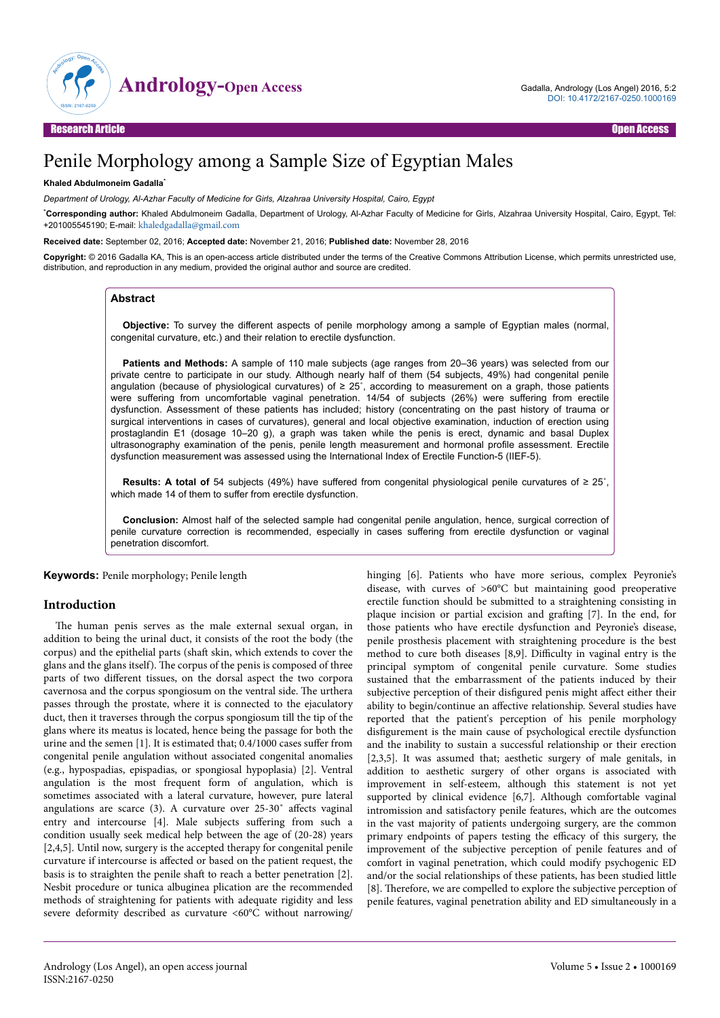

# Penile Morphology among a Sample Size of Egyptian Males

## **Khaled Abdulmoneim Gadalla**\*

*Department of Urology, Al-Azhar Faculty of Medicine for Girls, Alzahraa University Hospital, Cairo, Egypt*

\***Corresponding author:** Khaled Abdulmoneim Gadalla, Department of Urology, Al-Azhar Faculty of Medicine for Girls, Alzahraa University Hospital, Cairo, Egypt, Tel: +201005545190; E-mail: [khaledgadalla@gmail.com](mailto:khaledgadalla@gmail.com)

#### **Received date:** September 02, 2016; **Accepted date:** November 21, 2016; **Published date:** November 28, 2016

**Copyright:** © 2016 Gadalla KA, This is an open-access article distributed under the terms of the Creative Commons Attribution License, which permits unrestricted use, distribution, and reproduction in any medium, provided the original author and source are credited.

## **Abstract**

**Objective:** To survey the different aspects of penile morphology among a sample of Egyptian males (normal, congenital curvature, etc.) and their relation to erectile dysfunction.

**Patients and Methods:** A sample of 110 male subjects (age ranges from 20–36 years) was selected from our private centre to participate in our study. Although nearly half of them (54 subjects, 49%) had congenital penile angulation (because of physiological curvatures) of  $\geq 25^{\circ}$ , according to measurement on a graph, those patients were suffering from uncomfortable vaginal penetration. 14/54 of subjects (26%) were suffering from erectile dysfunction. Assessment of these patients has included; history (concentrating on the past history of trauma or surgical interventions in cases of curvatures), general and local objective examination, induction of erection using prostaglandin E1 (dosage 10–20 g), a graph was taken while the penis is erect, dynamic and basal Duplex ultrasonography examination of the penis, penile length measurement and hormonal profile assessment. Erectile dysfunction measurement was assessed using the International Index of Erectile Function-5 (IIEF-5).

**Results: A total of** 54 subjects (49%) have suffered from congenital physiological penile curvatures of ≥ 25˚, which made 14 of them to suffer from erectile dysfunction.

**Conclusion:** Almost half of the selected sample had congenital penile angulation, hence, surgical correction of penile curvature correction is recommended, especially in cases suffering from erectile dysfunction or vaginal penetration discomfort.

**Keywords:** Penile morphology; Penile length

## **Introduction**

The human penis serves as the male external sexual organ, in addition to being the urinal duct, it consists of the root the body (the corpus) and the epithelial parts (shaft skin, which extends to cover the glans and the glans itself). Нe corpus of the penis is composed of three parts of two different tissues, on the dorsal aspect the two corpora cavernosa and the corpus spongiosum on the ventral side. Нe urthera passes through the prostate, where it is connected to the ejaculatory duct, then it traverses through the corpus spongiosum till the tip of the glans where its meatus is located, hence being the passage for both the urine and the semen [1]. It is estimated that;  $0.4/1000$  cases suffer from congenital penile angulation without associated congenital anomalies (e.g., hypospadias, epispadias, or spongiosal hypoplasia) [2]. Ventral angulation is the most frequent form of angulation, which is sometimes associated with a lateral curvature, however, pure lateral angulations are scarce (3). A curvature over  $25-30°$  affects vaginal entry and intercourse [4]. Male subjects suffering from such a condition usually seek medical help between the age of (20-28) years [2,4,5]. Until now, surgery is the accepted therapy for congenital penile curvature if intercourse is affected or based on the patient request, the basis is to straighten the penile shaft to reach a better penetration [2]. Nesbit procedure or tunica albuginea plication are the recommended methods of straightening for patients with adequate rigidity and less severe deformity described as curvature <60°C without narrowing/

hinging [6]. Patients who have more serious, complex Peyronie's disease, with curves of >60°C but maintaining good preoperative erectile function should be submitted to a straightening consisting in plaque incision or partial excision and grafting [7]. In the end, for those patients who have erectile dysfunction and Peyronie's disease, penile prosthesis placement with straightening procedure is the best method to cure both diseases  $[8,9]$ . Difficulty in vaginal entry is the principal symptom of congenital penile curvature. Some studies sustained that the embarrassment of the patients induced by their subjective perception of their disfigured penis might affect either their ability to begin/continue an affective relationship. Several studies have reported that the patient's perception of his penile morphology disfigurement is the main cause of psychological erectile dysfunction and the inability to sustain a successful relationship or their erection [2,3,5]. It was assumed that; aesthetic surgery of male genitals, in addition to aesthetic surgery of other organs is associated with improvement in self-esteem, although this statement is not yet supported by clinical evidence [6,7]. Although comfortable vaginal intromission and satisfactory penile features, which are the outcomes in the vast majority of patients undergoing surgery, are the common primary endpoints of papers testing the efficacy of this surgery, the improvement of the subjective perception of penile features and of comfort in vaginal penetration, which could modify psychogenic ED and/or the social relationships of these patients, has been studied little [8]. Нerefore, we are compelled to explore the subjective perception of penile features, vaginal penetration ability and ED simultaneously in a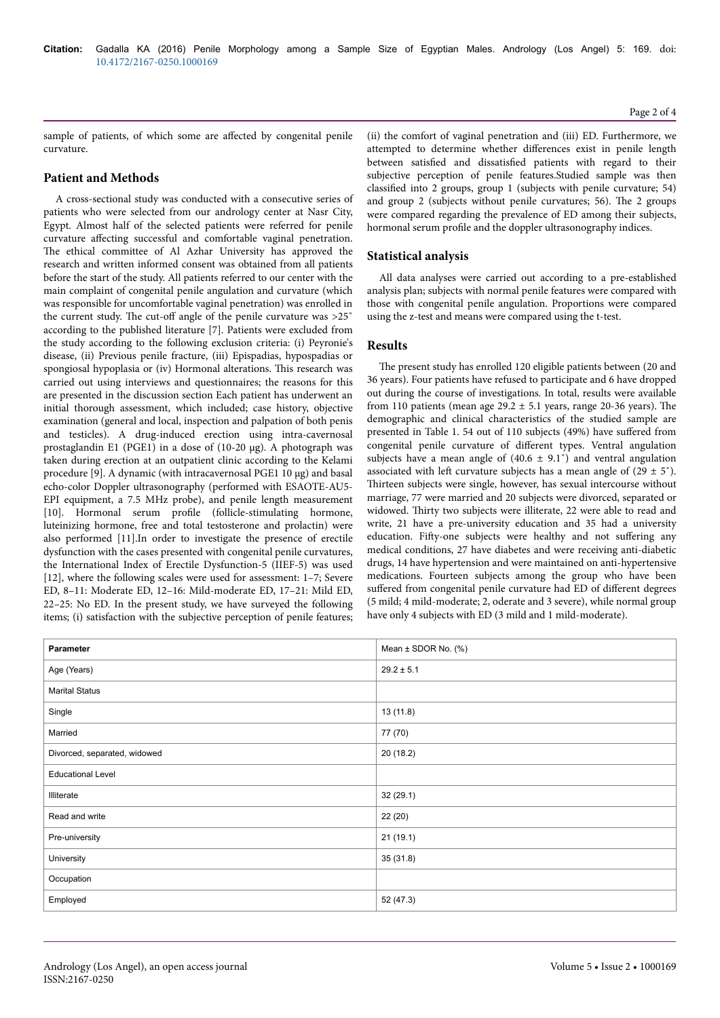sample of patients, of which some are affected by congenital penile curvature.

# **Patient and Methods**

A cross-sectional study was conducted with a consecutive series of patients who were selected from our andrology center at Nasr City, Egypt. Almost half of the selected patients were referred for penile curvature affecting successful and comfortable vaginal penetration. The ethical committee of Al Azhar University has approved the research and written informed consent was obtained from all patients before the start of the study. All patients referred to our center with the main complaint of congenital penile angulation and curvature (which was responsible for uncomfortable vaginal penetration) was enrolled in the current study. The cut-off angle of the penile curvature was  $>25°$ according to the published literature [7]. Patients were excluded from the study according to the following exclusion criteria: (i) Peyronie's disease, (ii) Previous penile fracture, (iii) Epispadias, hypospadias or spongiosal hypoplasia or (iv) Hormonal alterations. Нis research was carried out using interviews and questionnaires; the reasons for this are presented in the discussion section Each patient has underwent an initial thorough assessment, which included; case history, objective examination (general and local, inspection and palpation of both penis and testicles). A drug-induced erection using intra-cavernosal prostaglandin E1 (PGE1) in a dose of (10-20 μg). A photograph was taken during erection at an outpatient clinic according to the Kelami procedure [9]. A dynamic (with intracavernosal PGE1 10 μg) and basal echo-color Doppler ultrasonography (performed with ESAOTE-AU5- EPI equipment, a 7.5 MHz probe), and penile length measurement [10]. Hormonal serum profile (follicle-stimulating hormone, luteinizing hormone, free and total testosterone and prolactin) were also performed [11].In order to investigate the presence of erectile dysfunction with the cases presented with congenital penile curvatures, the International Index of Erectile Dysfunction-5 (IIEF-5) was used [12], where the following scales were used for assessment: 1–7; Severe ED, 8–11: Moderate ED, 12–16: Mild-moderate ED, 17–21: Mild ED, 22–25: No ED. In the present study, we have surveyed the following items; (i) satisfaction with the subjective perception of penile features;

(ii) the comfort of vaginal penetration and (iii) ED. Furthermore, we attempted to determine whether differences exist in penile length between satisfied and dissatisfied patients with regard to their subjective perception of penile features.Studied sample was then classified into 2 groups, group 1 (subjects with penile curvature; 54) and group 2 (subjects without penile curvatures; 56). Нe 2 groups were compared regarding the prevalence of ED among their subjects, hormonal serum profile and the doppler ultrasonography indices.

# **Statistical analysis**

All data analyses were carried out according to a pre-established analysis plan; subjects with normal penile features were compared with those with congenital penile angulation. Proportions were compared using the z-test and means were compared using the t-test.

# **Results**

The present study has enrolled 120 eligible patients between (20 and 36 years). Four patients have refused to participate and 6 have dropped out during the course of investigations. In total, results were available from 110 patients (mean age  $29.2 \pm 5.1$  years, range 20-36 years). The demographic and clinical characteristics of the studied sample are presented in Table 1. 54 out of 110 subjects (49%) have suffered from congenital penile curvature of different types. Ventral angulation subjects have a mean angle of  $(40.6 \pm 9.1^{\circ})$  and ventral angulation associated with left curvature subjects has a mean angle of  $(29 \pm 5^{\circ})$ . Нirteen subjects were single, however, has sexual intercourse without marriage, 77 were married and 20 subjects were divorced, separated or widowed. Thirty two subjects were illiterate, 22 were able to read and write, 21 have a pre-university education and 35 had a university education. Fifty-one subjects were healthy and not suffering any medical conditions, 27 have diabetes and were receiving anti-diabetic drugs, 14 have hypertension and were maintained on anti-hypertensive medications. Fourteen subjects among the group who have been suffered from congenital penile curvature had ED of different degrees (5 mild; 4 mild-moderate; 2, oderate and 3 severe), while normal group have only 4 subjects with ED (3 mild and 1 mild-moderate).

| Parameter                    | Mean $\pm$ SDOR No. (%) |
|------------------------------|-------------------------|
| Age (Years)                  | $29.2 \pm 5.1$          |
| <b>Marital Status</b>        |                         |
| Single                       | 13(11.8)                |
| Married                      | 77 (70)                 |
| Divorced, separated, widowed | 20(18.2)                |
| <b>Educational Level</b>     |                         |
| Illiterate                   | 32(29.1)                |
| Read and write               | 22 (20)                 |
| Pre-university               | 21(19.1)                |
| University                   | 35(31.8)                |
| Occupation                   |                         |
| Employed                     | 52 (47.3)               |

Page 2 of 4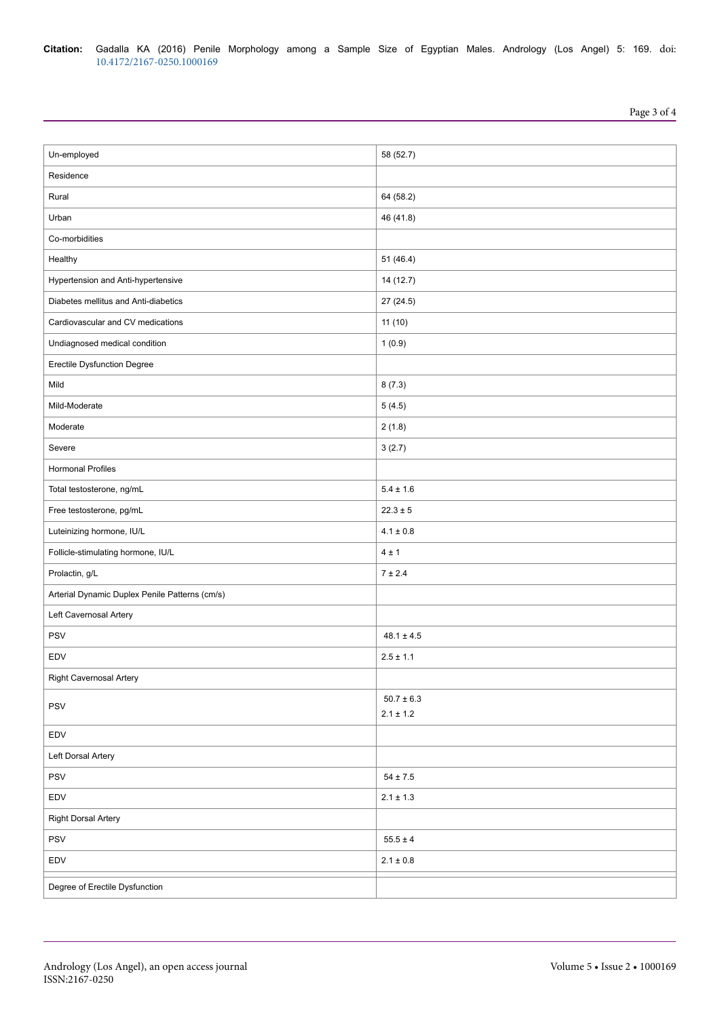| Un-employed                                    | 58 (52.7)      |
|------------------------------------------------|----------------|
| Residence                                      |                |
| Rural                                          | 64 (58.2)      |
| Urban                                          | 46 (41.8)      |
| Co-morbidities                                 |                |
| Healthy                                        | 51(46.4)       |
| Hypertension and Anti-hypertensive             | 14 (12.7)      |
| Diabetes mellitus and Anti-diabetics           | 27 (24.5)      |
| Cardiovascular and CV medications              | 11(10)         |
| Undiagnosed medical condition                  | 1(0.9)         |
| <b>Erectile Dysfunction Degree</b>             |                |
| Mild                                           | 8(7.3)         |
| Mild-Moderate                                  | 5(4.5)         |
| Moderate                                       | 2(1.8)         |
| Severe                                         | 3(2.7)         |
| <b>Hormonal Profiles</b>                       |                |
| Total testosterone, ng/mL                      | $5.4 \pm 1.6$  |
| Free testosterone, pg/mL                       | $22.3 \pm 5$   |
| Luteinizing hormone, IU/L                      | $4.1 \pm 0.8$  |
| Follicle-stimulating hormone, IU/L             | 4±1            |
| Prolactin, g/L                                 | 7 ± 2.4        |
| Arterial Dynamic Duplex Penile Patterns (cm/s) |                |
| Left Cavernosal Artery                         |                |
| <b>PSV</b>                                     | $48.1 \pm 4.5$ |
| EDV                                            | $2.5 \pm 1.1$  |
| Right Cavernosal Artery                        |                |
| PSV                                            | $50.7\pm6.3$   |
|                                                | $2.1\pm1.2$    |
| EDV                                            |                |
| Left Dorsal Artery                             |                |
| PSV                                            | $54\pm7.5$     |
| EDV                                            | $2.1 \pm 1.3$  |
| <b>Right Dorsal Artery</b>                     |                |
| PSV                                            | $55.5 \pm 4$   |
| EDV                                            | $2.1\pm0.8$    |
| Degree of Erectile Dysfunction                 |                |